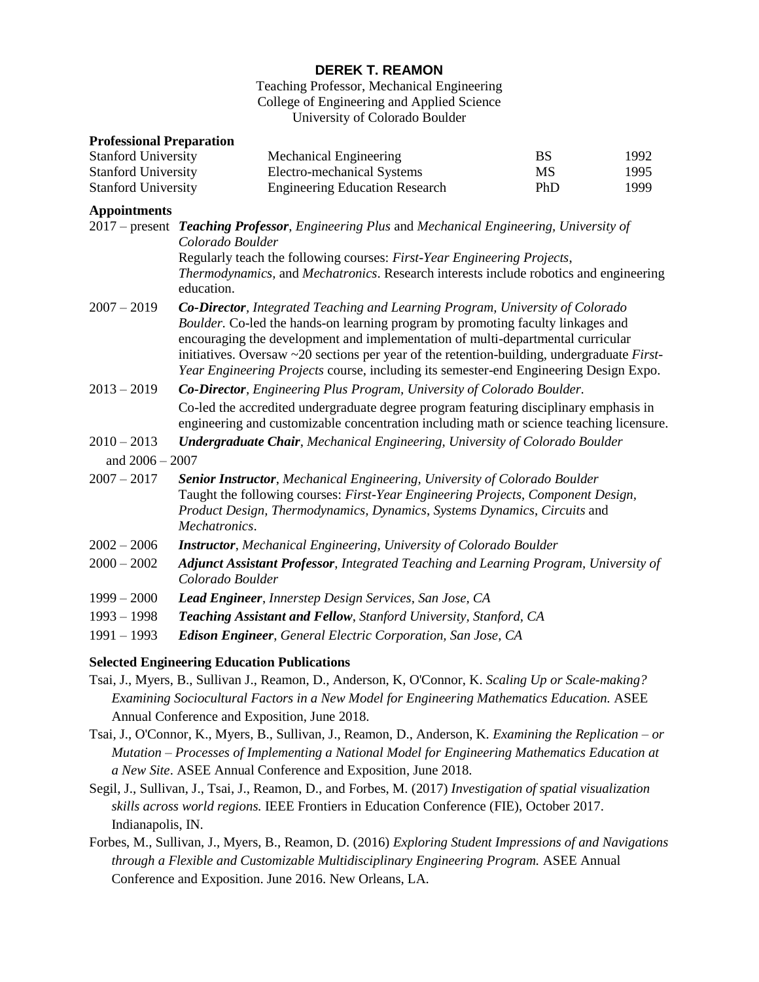# **DEREK T. REAMON**

Teaching Professor, Mechanical Engineering College of Engineering and Applied Science University of Colorado Boulder

#### **Professional Preparation**

| <b>Stanford University</b> | Mechanical Engineering                | BS         | 1992 |
|----------------------------|---------------------------------------|------------|------|
| <b>Stanford University</b> | Electro-mechanical Systems            | MS         | 1995 |
| <b>Stanford University</b> | <b>Engineering Education Research</b> | <b>PhD</b> | 1999 |

#### **Appointments**

|                   | 2017 – present Teaching Professor, Engineering Plus and Mechanical Engineering, University of<br>Colorado Boulder                                                                                                                                                                                                                                                                                                                                                |
|-------------------|------------------------------------------------------------------------------------------------------------------------------------------------------------------------------------------------------------------------------------------------------------------------------------------------------------------------------------------------------------------------------------------------------------------------------------------------------------------|
|                   | Regularly teach the following courses: First-Year Engineering Projects,                                                                                                                                                                                                                                                                                                                                                                                          |
|                   | Thermodynamics, and Mechatronics. Research interests include robotics and engineering<br>education.                                                                                                                                                                                                                                                                                                                                                              |
| $2007 - 2019$     | <b>Co-Director</b> , Integrated Teaching and Learning Program, University of Colorado<br>Boulder. Co-led the hands-on learning program by promoting faculty linkages and<br>encouraging the development and implementation of multi-departmental curricular<br>initiatives. Oversaw $\sim$ 20 sections per year of the retention-building, undergraduate <i>First</i> -<br>Year Engineering Projects course, including its semester-end Engineering Design Expo. |
| $2013 - 2019$     | Co-Director, Engineering Plus Program, University of Colorado Boulder.                                                                                                                                                                                                                                                                                                                                                                                           |
|                   | Co-led the accredited undergraduate degree program featuring disciplinary emphasis in<br>engineering and customizable concentration including math or science teaching licensure.                                                                                                                                                                                                                                                                                |
| $2010 - 2013$     | <b>Undergraduate Chair, Mechanical Engineering, University of Colorado Boulder</b>                                                                                                                                                                                                                                                                                                                                                                               |
| and $2006 - 2007$ |                                                                                                                                                                                                                                                                                                                                                                                                                                                                  |
| $2007 - 2017$     | Senior Instructor, Mechanical Engineering, University of Colorado Boulder<br>Taught the following courses: First-Year Engineering Projects, Component Design,<br>Product Design, Thermodynamics, Dynamics, Systems Dynamics, Circuits and<br>Mechatronics.                                                                                                                                                                                                       |
| $2002 - 2006$     | <b>Instructor</b> , Mechanical Engineering, University of Colorado Boulder                                                                                                                                                                                                                                                                                                                                                                                       |
| $2000 - 2002$     | <b>Adjunct Assistant Professor, Integrated Teaching and Learning Program, University of</b><br>Colorado Boulder                                                                                                                                                                                                                                                                                                                                                  |
| $1999 - 2000$     | Lead Engineer, Innerstep Design Services, San Jose, CA                                                                                                                                                                                                                                                                                                                                                                                                           |
| $1993 - 1998$     | Teaching Assistant and Fellow, Stanford University, Stanford, CA                                                                                                                                                                                                                                                                                                                                                                                                 |
| $1991 - 1993$     | <b>Edison Engineer</b> , General Electric Corporation, San Jose, CA                                                                                                                                                                                                                                                                                                                                                                                              |

#### **Selected Engineering Education Publications**

- Tsai, J., Myers, B., Sullivan J., Reamon, D., Anderson, K, O'Connor, K. *Scaling Up or Scale-making? Examining Sociocultural Factors in a New Model for Engineering Mathematics Education.* ASEE Annual Conference and Exposition, June 2018.
- Tsai, J., O'Connor, K., Myers, B., Sullivan, J., Reamon, D., Anderson, K. *Examining the Replication – or Mutation – Processes of Implementing a National Model for Engineering Mathematics Education at a New Site*. ASEE Annual Conference and Exposition, June 2018.
- Segil, J., Sullivan, J., Tsai, J., Reamon, D., and Forbes, M. (2017) *Investigation of spatial visualization skills across world regions.* IEEE Frontiers in Education Conference (FIE), October 2017. Indianapolis, IN.
- Forbes, M., Sullivan, J., Myers, B., Reamon, D. (2016) *Exploring Student Impressions of and Navigations through a Flexible and Customizable Multidisciplinary Engineering Program.* ASEE Annual Conference and Exposition. June 2016. New Orleans, LA.